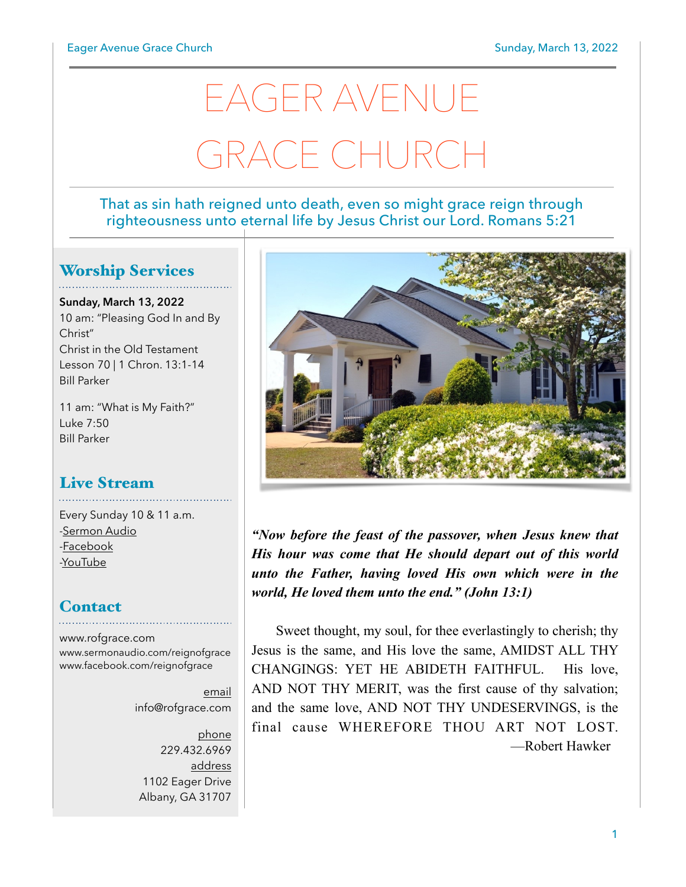# EAGER AVENUE GRACE CHURCH

#### That as sin hath reigned unto death, even so might grace reign through righteousness unto eternal life by Jesus Christ our Lord. Romans 5:21

## Worship Services

**Sunday, March 13, 2022** 10 am: "Pleasing God In and By Christ" Christ in the Old Testament Lesson 70 | 1 Chron. 13:1-14 Bill Parker

11 am: "What is My Faith?" Luke 7:50 Bill Parker

## Live Stream

Every Sunday 10 & 11 a.m. [-Sermon Audio](http://sermonaudio.com/reignofgrace) [-Facebook](http://facebook.com/eageravechurch) [-YouTube](http://youtube.com/channel/UCu_lTHCIUOK0cka9AjFV_5Q/live)

## **Contact**

[www.rofgrace.com](http://www.rofgrace.com) [www.sermonaudio.com/reignofgrace](http://www.sermonaudio.com/reignofgrace) [www.facebook.com/reignofgrace](http://www.facebook.com/reignofgrace)

> email [info@rofgrace.com](mailto:info@rofgrace.com?subject=)

phone 229.432.6969 address 1102 Eager Drive Albany, GA 31707



*"Now before the feast of the passover, when Jesus knew that His hour was come that He should depart out of this world unto the Father, having loved His own which were in the world, He loved them unto the end." (John 13:1)*

 Sweet thought, my soul, for thee everlastingly to cherish; thy Jesus is the same, and His love the same, AMIDST ALL THY CHANGINGS: YET HE ABIDETH FAITHFUL. His love, AND NOT THY MERIT, was the first cause of thy salvation; and the same love, AND NOT THY UNDESERVINGS, is the final cause WHEREFORE THOU ART NOT LOST. —Robert Hawker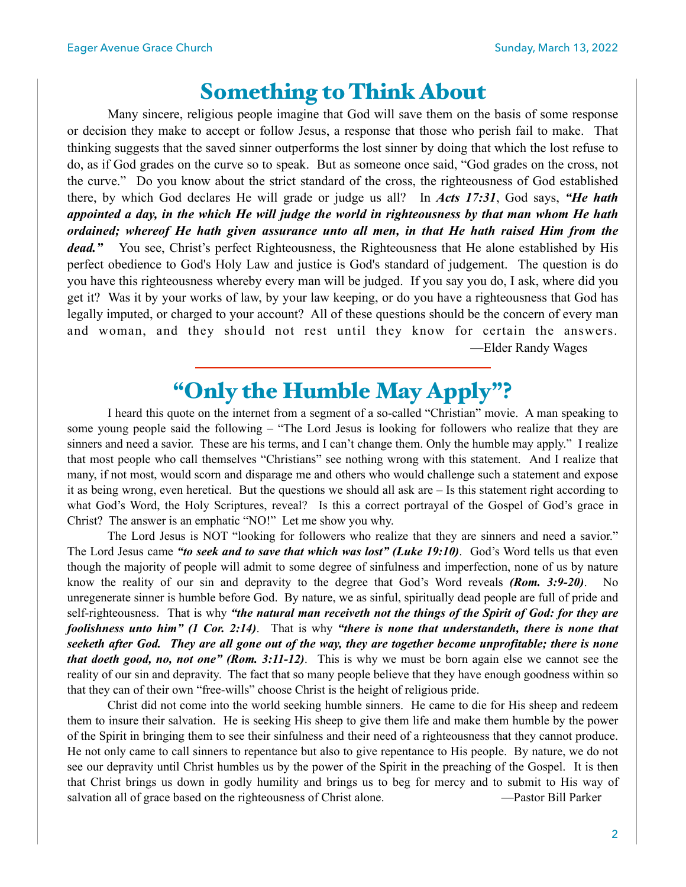## Something to Think About

 Many sincere, religious people imagine that God will save them on the basis of some response or decision they make to accept or follow Jesus, a response that those who perish fail to make. That thinking suggests that the saved sinner outperforms the lost sinner by doing that which the lost refuse to do, as if God grades on the curve so to speak. But as someone once said, "God grades on the cross, not the curve." Do you know about the strict standard of the cross, the righteousness of God established there, by which God declares He will grade or judge us all? In *Acts 17:31*, God says, *"He hath appointed a day, in the which He will judge the world in righteousness by that man whom He hath ordained; whereof He hath given assurance unto all men, in that He hath raised Him from the dead."* You see, Christ's perfect Righteousness, the Righteousness that He alone established by His perfect obedience to God's Holy Law and justice is God's standard of judgement. The question is do you have this righteousness whereby every man will be judged. If you say you do, I ask, where did you get it? Was it by your works of law, by your law keeping, or do you have a righteousness that God has legally imputed, or charged to your account? All of these questions should be the concern of every man and woman, and they should not rest until they know for certain the answers. —Elder Randy Wages

# "Only the Humble May Apply"?

 I heard this quote on the internet from a segment of a so-called "Christian" movie. A man speaking to some young people said the following – "The Lord Jesus is looking for followers who realize that they are sinners and need a savior. These are his terms, and I can't change them. Only the humble may apply." I realize that most people who call themselves "Christians" see nothing wrong with this statement. And I realize that many, if not most, would scorn and disparage me and others who would challenge such a statement and expose it as being wrong, even heretical. But the questions we should all ask are – Is this statement right according to what God's Word, the Holy Scriptures, reveal? Is this a correct portrayal of the Gospel of God's grace in Christ? The answer is an emphatic "NO!" Let me show you why.

 The Lord Jesus is NOT "looking for followers who realize that they are sinners and need a savior." The Lord Jesus came *"to seek and to save that which was lost" (Luke 19:10)*. God's Word tells us that even though the majority of people will admit to some degree of sinfulness and imperfection, none of us by nature know the reality of our sin and depravity to the degree that God's Word reveals *(Rom. 3:9-20)*. unregenerate sinner is humble before God. By nature, we as sinful, spiritually dead people are full of pride and self-righteousness. That is why *"the natural man receiveth not the things of the Spirit of God: for they are foolishness unto him" (1 Cor. 2:14)*. That is why *"there is none that understandeth, there is none that seeketh after God. They are all gone out of the way, they are together become unprofitable; there is none that doeth good, no, not one" (Rom. 3:11-12)*. This is why we must be born again else we cannot see the reality of our sin and depravity. The fact that so many people believe that they have enough goodness within so that they can of their own "free-wills" choose Christ is the height of religious pride.

 Christ did not come into the world seeking humble sinners. He came to die for His sheep and redeem them to insure their salvation. He is seeking His sheep to give them life and make them humble by the power of the Spirit in bringing them to see their sinfulness and their need of a righteousness that they cannot produce. He not only came to call sinners to repentance but also to give repentance to His people. By nature, we do not see our depravity until Christ humbles us by the power of the Spirit in the preaching of the Gospel. It is then that Christ brings us down in godly humility and brings us to beg for mercy and to submit to His way of salvation all of grace based on the righteousness of Christ alone. —Pastor Bill Parker